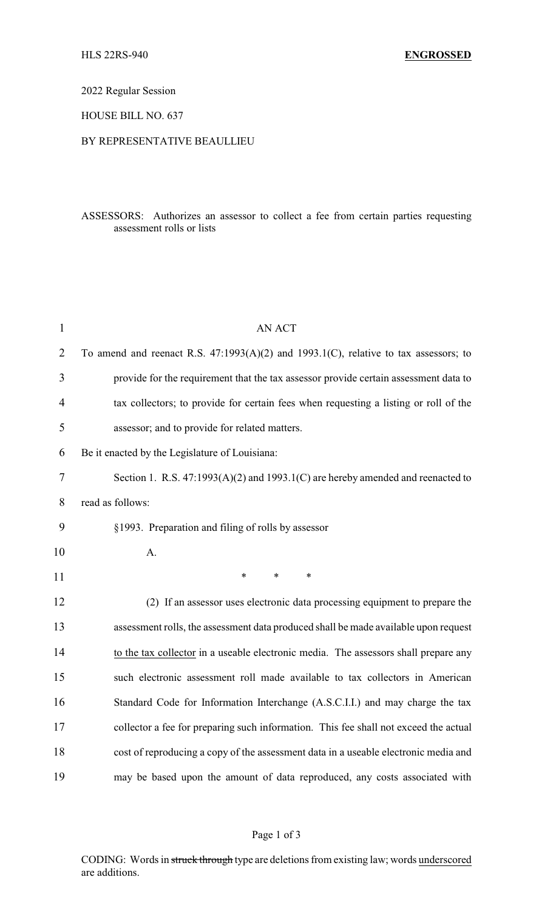2022 Regular Session

HOUSE BILL NO. 637

## BY REPRESENTATIVE BEAULLIEU

## ASSESSORS: Authorizes an assessor to collect a fee from certain parties requesting assessment rolls or lists

| $\mathbf{1}$   | <b>AN ACT</b>                                                                             |
|----------------|-------------------------------------------------------------------------------------------|
| $\overline{2}$ | To amend and reenact R.S. $47:1993(A)(2)$ and $1993.1(C)$ , relative to tax assessors; to |
| 3              | provide for the requirement that the tax assessor provide certain assessment data to      |
| 4              | tax collectors; to provide for certain fees when requesting a listing or roll of the      |
| 5              | assessor; and to provide for related matters.                                             |
| 6              | Be it enacted by the Legislature of Louisiana:                                            |
| 7              | Section 1. R.S. $47:1993(A)(2)$ and $1993.1(C)$ are hereby amended and reenacted to       |
| 8              | read as follows:                                                                          |
| 9              | §1993. Preparation and filing of rolls by assessor                                        |
| 10             | A.                                                                                        |
| 11             | $\ast$<br>*<br>$\ast$                                                                     |
| 12             | (2) If an assessor uses electronic data processing equipment to prepare the               |
| 13             | assessment rolls, the assessment data produced shall be made available upon request       |
| 14             | to the tax collector in a useable electronic media. The assessors shall prepare any       |
| 15             | such electronic assessment roll made available to tax collectors in American              |
| 16             | Standard Code for Information Interchange (A.S.C.I.I.) and may charge the tax             |
| 17             | collector a fee for preparing such information. This fee shall not exceed the actual      |
| 18             | cost of reproducing a copy of the assessment data in a useable electronic media and       |
| 19             | may be based upon the amount of data reproduced, any costs associated with                |

## Page 1 of 3

CODING: Words in struck through type are deletions from existing law; words underscored are additions.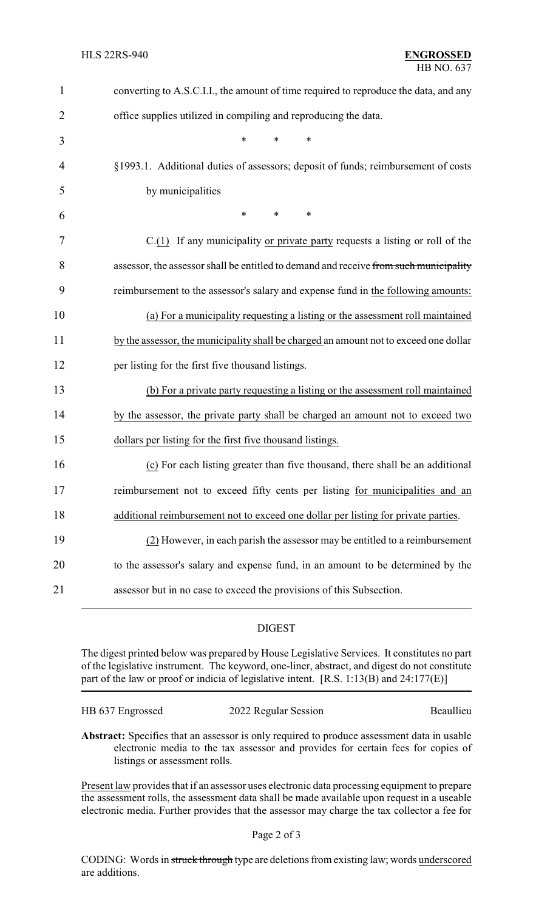| $\mathbf{1}$   | converting to A.S.C.I.I., the amount of time required to reproduce the data, and any  |
|----------------|---------------------------------------------------------------------------------------|
| $\overline{2}$ | office supplies utilized in compiling and reproducing the data.                       |
| 3              | *<br>$\ast$                                                                           |
| 4              | §1993.1. Additional duties of assessors; deposit of funds; reimbursement of costs     |
| 5              | by municipalities                                                                     |
| 6              | *<br>$\ast$<br>∗                                                                      |
| 7              | $C(1)$ If any municipality or private party requests a listing or roll of the         |
| 8              | assessor, the assessor shall be entitled to demand and receive from such municipality |
| 9              | reimbursement to the assessor's salary and expense fund in the following amounts:     |
| 10             | (a) For a municipality requesting a listing or the assessment roll maintained         |
| 11             | by the assessor, the municipality shall be charged an amount not to exceed one dollar |
| 12             | per listing for the first five thousand listings.                                     |
| 13             | (b) For a private party requesting a listing or the assessment roll maintained        |
| 14             | by the assessor, the private party shall be charged an amount not to exceed two       |
| 15             | dollars per listing for the first five thousand listings.                             |
| 16             | (c) For each listing greater than five thousand, there shall be an additional         |
| 17             | reimbursement not to exceed fifty cents per listing for municipalities and an         |
| 18             | additional reimbursement not to exceed one dollar per listing for private parties.    |
| 19             | (2) However, in each parish the assessor may be entitled to a reimbursement           |
| 20             | to the assessor's salary and expense fund, in an amount to be determined by the       |
| 21             | assessor but in no case to exceed the provisions of this Subsection.                  |
|                |                                                                                       |

## DIGEST

The digest printed below was prepared by House Legislative Services. It constitutes no part of the legislative instrument. The keyword, one-liner, abstract, and digest do not constitute part of the law or proof or indicia of legislative intent. [R.S. 1:13(B) and 24:177(E)]

| HB 637 Engrossed | 2022 Regular Session | Beaullieu |
|------------------|----------------------|-----------|
|                  |                      |           |

**Abstract:** Specifies that an assessor is only required to produce assessment data in usable electronic media to the tax assessor and provides for certain fees for copies of listings or assessment rolls.

Present law provides that if an assessor uses electronic data processing equipment to prepare the assessment rolls, the assessment data shall be made available upon request in a useable electronic media. Further provides that the assessor may charge the tax collector a fee for